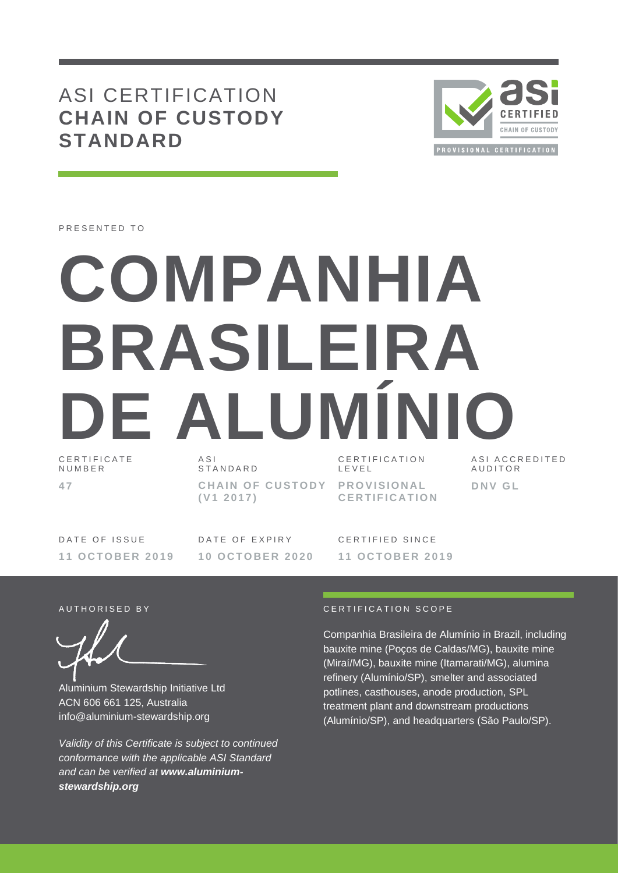## ASI CERTIFICATION **CHAIN OF CUSTODY STANDARD**



PRESENTED TO

# **COMPANHIA BRASILEIRA DE ALUMINI**

C E R T I F I C A T E N U M B E R **4 7**

A S I **STANDARD** 

**CHAIN OF CUSTODY ( V1 2 0 1 7 )**

CERTIFICATION L E V E L

**P R O V I S I O N A L C E R T I F I C A T I O N** ASI ACCREDITED **AUDITOR D N V G L**

DATE OF ISSUE **1 1 O C T O B E R 2019** DATE OF EXPIRY **1 0 O C T O B E R 202 0**

CERTIFIED SINCE **1 1 O C T O B E R 2019**

Aluminium Stewardship Initiative Ltd ACN 606 661 125, Australia info@aluminium-stewardship.org

*Validity of this Certificate is subject to continued conformance with the applicable ASI Standard and can be verified at www.aluminiumstewardship.org*

#### A U T HORISED BY CERTIFICATION SCOPE

Companhia Brasileira de Alumínio in Brazil, including bauxite mine (Poços de Caldas/MG), bauxite mine (Miraí/MG), bauxite mine (Itamarati/MG), alumina refinery (Alumínio/SP), smelter and associated potlines, casthouses, anode production, SPL treatment plant and downstream productions (Alumínio/SP), and headquarters (São Paulo/SP).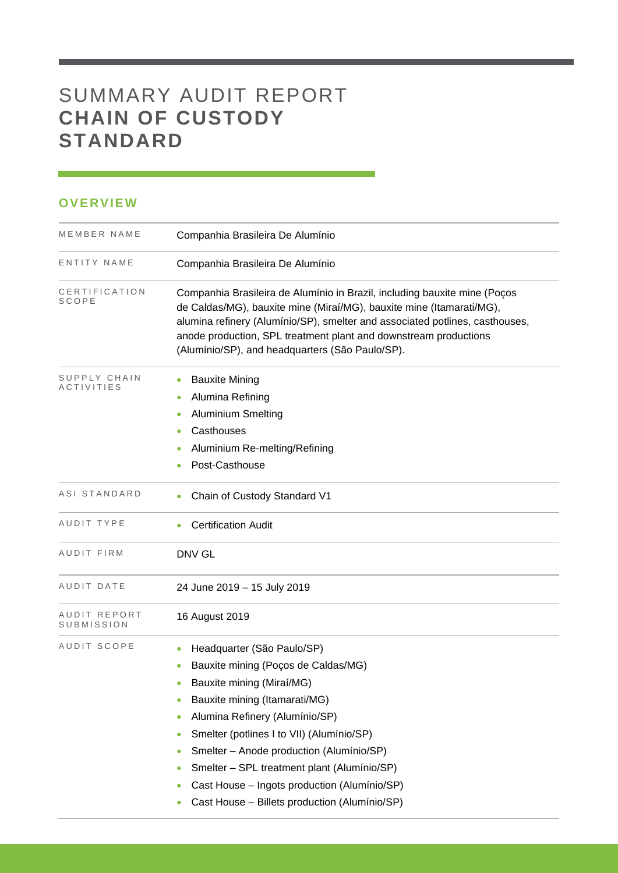# SUMMARY AUDIT REPORT **CHAIN OF CUSTODY STANDARD**

### **OVERVIEW**

| MEMBER NAME                | Companhia Brasileira De Alumínio                                                                                                                                                                                                                                                                                                                                                                                                                                                                |
|----------------------------|-------------------------------------------------------------------------------------------------------------------------------------------------------------------------------------------------------------------------------------------------------------------------------------------------------------------------------------------------------------------------------------------------------------------------------------------------------------------------------------------------|
| ENTITY NAME                | Companhia Brasileira De Alumínio                                                                                                                                                                                                                                                                                                                                                                                                                                                                |
| CERTIFICATION<br>SCOPE     | Companhia Brasileira de Alumínio in Brazil, including bauxite mine (Poços<br>de Caldas/MG), bauxite mine (Miraí/MG), bauxite mine (Itamarati/MG),<br>alumina refinery (Alumínio/SP), smelter and associated potlines, casthouses,<br>anode production, SPL treatment plant and downstream productions<br>(Alumínio/SP), and headquarters (São Paulo/SP).                                                                                                                                        |
| SUPPLY CHAIN<br>ACTIVITIES | <b>Bauxite Mining</b><br>Alumina Refining<br><b>Aluminium Smelting</b><br>٠<br>Casthouses<br>٠<br>Aluminium Re-melting/Refining<br>Post-Casthouse                                                                                                                                                                                                                                                                                                                                               |
| ASI STANDARD               | Chain of Custody Standard V1                                                                                                                                                                                                                                                                                                                                                                                                                                                                    |
| AUDIT TYPE                 | <b>Certification Audit</b>                                                                                                                                                                                                                                                                                                                                                                                                                                                                      |
| AUDIT FIRM                 | DNV GL                                                                                                                                                                                                                                                                                                                                                                                                                                                                                          |
| AUDIT DATE                 | 24 June 2019 - 15 July 2019                                                                                                                                                                                                                                                                                                                                                                                                                                                                     |
| AUDIT REPORT<br>SUBMISSION | 16 August 2019                                                                                                                                                                                                                                                                                                                                                                                                                                                                                  |
| AUDIT SCOPE                | Headquarter (São Paulo/SP)<br>$\bullet$<br>Bauxite mining (Poços de Caldas/MG)<br>Bauxite mining (Miraí/MG)<br>$\bullet$<br>Bauxite mining (Itamarati/MG)<br>$\bullet$<br>Alumina Refinery (Alumínio/SP)<br>۰<br>Smelter (potlines I to VII) (Alumínio/SP)<br>۰<br>Smelter - Anode production (Alumínio/SP)<br>$\bullet$<br>Smelter - SPL treatment plant (Alumínio/SP)<br>۰<br>Cast House - Ingots production (Alumínio/SP)<br>$\bullet$<br>Cast House - Billets production (Alumínio/SP)<br>۰ |

<u> 1989 - Johann Barnett, martin ba</u>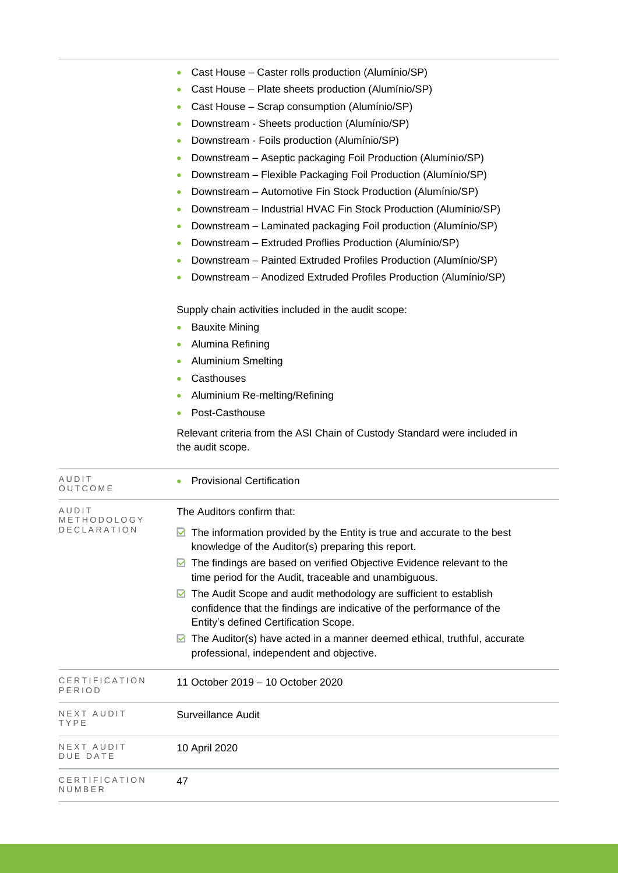|                      | Cast House - Caster rolls production (Alumínio/SP)<br>۰                                                                                                                                            |  |  |  |  |
|----------------------|----------------------------------------------------------------------------------------------------------------------------------------------------------------------------------------------------|--|--|--|--|
|                      | Cast House - Plate sheets production (Alumínio/SP)<br>$\bullet$                                                                                                                                    |  |  |  |  |
|                      | Cast House - Scrap consumption (Alumínio/SP)<br>$\bullet$                                                                                                                                          |  |  |  |  |
|                      | Downstream - Sheets production (Alumínio/SP)<br>۰                                                                                                                                                  |  |  |  |  |
|                      | Downstream - Foils production (Alumínio/SP)<br>$\bullet$                                                                                                                                           |  |  |  |  |
|                      | Downstream - Aseptic packaging Foil Production (Alumínio/SP)<br>$\bullet$                                                                                                                          |  |  |  |  |
|                      | Downstream - Flexible Packaging Foil Production (Alumínio/SP)<br>$\bullet$                                                                                                                         |  |  |  |  |
|                      | Downstream - Automotive Fin Stock Production (Alumínio/SP)<br>$\bullet$                                                                                                                            |  |  |  |  |
|                      | Downstream - Industrial HVAC Fin Stock Production (Alumínio/SP)<br>۰                                                                                                                               |  |  |  |  |
|                      | Downstream - Laminated packaging Foil production (Alumínio/SP)<br>$\bullet$                                                                                                                        |  |  |  |  |
|                      | Downstream - Extruded Proflies Production (Alumínio/SP)<br>$\bullet$                                                                                                                               |  |  |  |  |
|                      | Downstream - Painted Extruded Profiles Production (Alumínio/SP)<br>$\bullet$                                                                                                                       |  |  |  |  |
|                      | Downstream - Anodized Extruded Profiles Production (Alumínio/SP)<br>$\bullet$                                                                                                                      |  |  |  |  |
|                      | Supply chain activities included in the audit scope:                                                                                                                                               |  |  |  |  |
|                      | <b>Bauxite Mining</b><br>$\bullet$                                                                                                                                                                 |  |  |  |  |
|                      | Alumina Refining<br>$\bullet$                                                                                                                                                                      |  |  |  |  |
|                      | <b>Aluminium Smelting</b><br>$\bullet$                                                                                                                                                             |  |  |  |  |
|                      | Casthouses<br>$\bullet$                                                                                                                                                                            |  |  |  |  |
|                      | Aluminium Re-melting/Refining<br>$\bullet$                                                                                                                                                         |  |  |  |  |
|                      | Post-Casthouse<br>$\bullet$                                                                                                                                                                        |  |  |  |  |
|                      | Relevant criteria from the ASI Chain of Custody Standard were included in<br>the audit scope.                                                                                                      |  |  |  |  |
| AUDIT<br>OUTCOME     | <b>Provisional Certification</b><br>$\bullet$                                                                                                                                                      |  |  |  |  |
| AUDIT<br>METHODOLOGY | The Auditors confirm that:                                                                                                                                                                         |  |  |  |  |
| DECLARATION          | The information provided by the Entity is true and accurate to the best<br>M<br>knowledge of the Auditor(s) preparing this report.                                                                 |  |  |  |  |
|                      | $\blacksquare$ The findings are based on verified Objective Evidence relevant to the<br>time period for the Audit, traceable and unambiguous.                                                      |  |  |  |  |
|                      | $\blacksquare$ The Audit Scope and audit methodology are sufficient to establish<br>confidence that the findings are indicative of the performance of the<br>Entity's defined Certification Scope. |  |  |  |  |
|                      | $\blacksquare$ The Auditor(s) have acted in a manner deemed ethical, truthful, accurate<br>professional, independent and objective.                                                                |  |  |  |  |

an<br>Barat

| CERTIFICATION<br>PERIOD | 11 October 2019 – 10 October 2020 |
|-------------------------|-----------------------------------|
| NEXT AUDIT<br>TYPE      | Surveillance Audit                |
| NEXT AUDIT<br>DUE DATE  | 10 April 2020                     |
| CERTIFICATION<br>NUMBER | 47                                |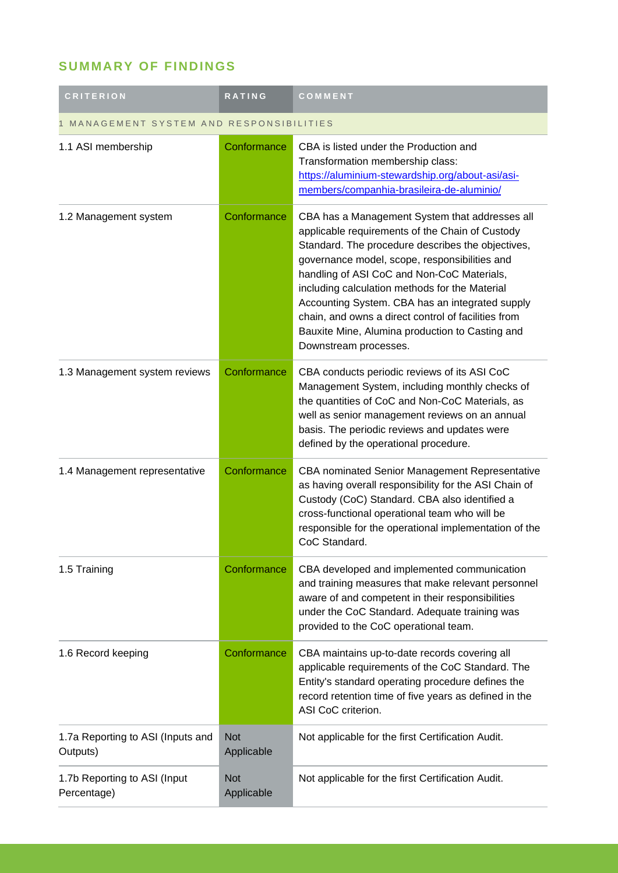## **SUMMARY OF FINDINGS**

| <b>CRITERION</b>                              | <b>RATING</b>            | COMMENT                                                                                                                                                                                                                                                                                                                                                                                                                                                                                       |  |
|-----------------------------------------------|--------------------------|-----------------------------------------------------------------------------------------------------------------------------------------------------------------------------------------------------------------------------------------------------------------------------------------------------------------------------------------------------------------------------------------------------------------------------------------------------------------------------------------------|--|
| MANAGEMENT SYSTEM AND RESPONSIBILITIES        |                          |                                                                                                                                                                                                                                                                                                                                                                                                                                                                                               |  |
| 1.1 ASI membership                            | Conformance              | CBA is listed under the Production and<br>Transformation membership class:<br>https://aluminium-stewardship.org/about-asi/asi-<br>members/companhia-brasileira-de-aluminio/                                                                                                                                                                                                                                                                                                                   |  |
| 1.2 Management system                         | Conformance              | CBA has a Management System that addresses all<br>applicable requirements of the Chain of Custody<br>Standard. The procedure describes the objectives,<br>governance model, scope, responsibilities and<br>handling of ASI CoC and Non-CoC Materials,<br>including calculation methods for the Material<br>Accounting System. CBA has an integrated supply<br>chain, and owns a direct control of facilities from<br>Bauxite Mine, Alumina production to Casting and<br>Downstream processes. |  |
| 1.3 Management system reviews                 | Conformance              | CBA conducts periodic reviews of its ASI CoC<br>Management System, including monthly checks of<br>the quantities of CoC and Non-CoC Materials, as<br>well as senior management reviews on an annual<br>basis. The periodic reviews and updates were<br>defined by the operational procedure.                                                                                                                                                                                                  |  |
| 1.4 Management representative                 | Conformance              | CBA nominated Senior Management Representative<br>as having overall responsibility for the ASI Chain of<br>Custody (CoC) Standard. CBA also identified a<br>cross-functional operational team who will be<br>responsible for the operational implementation of the<br>CoC Standard.                                                                                                                                                                                                           |  |
| 1.5 Training                                  | Conformance              | CBA developed and implemented communication<br>and training measures that make relevant personnel<br>aware of and competent in their responsibilities<br>under the CoC Standard. Adequate training was<br>provided to the CoC operational team.                                                                                                                                                                                                                                               |  |
| 1.6 Record keeping                            | Conformance              | CBA maintains up-to-date records covering all<br>applicable requirements of the CoC Standard. The<br>Entity's standard operating procedure defines the<br>record retention time of five years as defined in the<br>ASI CoC criterion.                                                                                                                                                                                                                                                         |  |
| 1.7a Reporting to ASI (Inputs and<br>Outputs) | <b>Not</b><br>Applicable | Not applicable for the first Certification Audit.                                                                                                                                                                                                                                                                                                                                                                                                                                             |  |
| 1.7b Reporting to ASI (Input<br>Percentage)   | <b>Not</b><br>Applicable | Not applicable for the first Certification Audit.                                                                                                                                                                                                                                                                                                                                                                                                                                             |  |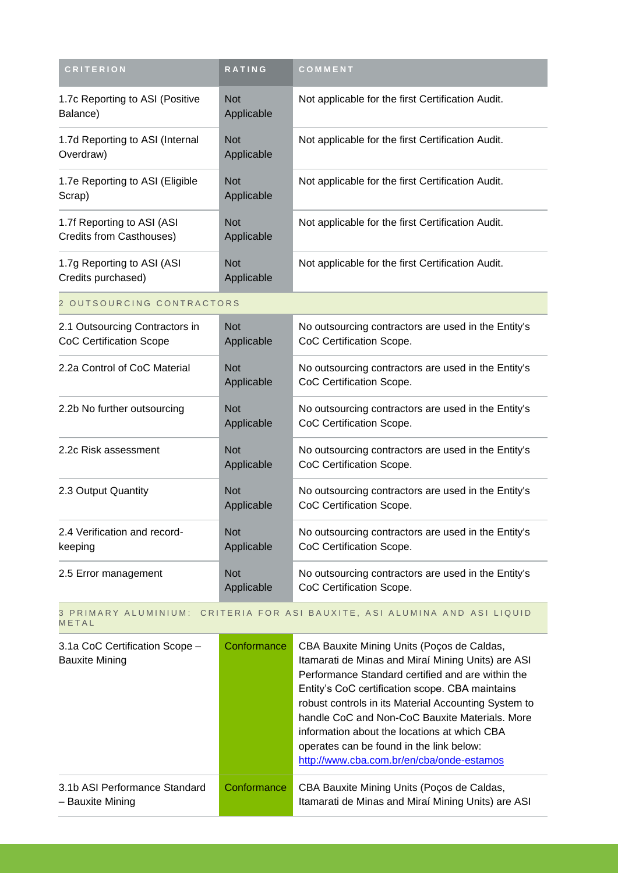| <b>CRITERION</b>                                                 | <b>RATING</b>            | COMMENT                                                                         |
|------------------------------------------------------------------|--------------------------|---------------------------------------------------------------------------------|
| 1.7c Reporting to ASI (Positive<br>Balance)                      | <b>Not</b><br>Applicable | Not applicable for the first Certification Audit.                               |
| 1.7d Reporting to ASI (Internal<br>Overdraw)                     | <b>Not</b><br>Applicable | Not applicable for the first Certification Audit.                               |
| 1.7e Reporting to ASI (Eligible<br>Scrap)                        | <b>Not</b><br>Applicable | Not applicable for the first Certification Audit.                               |
| 1.7f Reporting to ASI (ASI<br>Credits from Casthouses)           | <b>Not</b><br>Applicable | Not applicable for the first Certification Audit.                               |
| 1.7g Reporting to ASI (ASI<br>Credits purchased)                 | <b>Not</b><br>Applicable | Not applicable for the first Certification Audit.                               |
| 2 OUTSOURCING CONTRACTORS                                        |                          |                                                                                 |
| 2.1 Outsourcing Contractors in<br><b>CoC Certification Scope</b> | <b>Not</b><br>Applicable | No outsourcing contractors are used in the Entity's<br>CoC Certification Scope. |
| 2.2a Control of CoC Material                                     | <b>Not</b><br>Applicable | No outsourcing contractors are used in the Entity's<br>CoC Certification Scope. |
| 2.2b No further outsourcing                                      | <b>Not</b><br>Applicable | No outsourcing contractors are used in the Entity's<br>CoC Certification Scope. |
| 2.2c Risk assessment                                             | <b>Not</b><br>Applicable | No outsourcing contractors are used in the Entity's<br>CoC Certification Scope. |
| 2.3 Output Quantity                                              | <b>Not</b><br>Applicable | No outsourcing contractors are used in the Entity's<br>CoC Certification Scope. |
| 2.4 Verification and record-<br>keeping                          | <b>Not</b><br>Applicable | No outsourcing contractors are used in the Entity's<br>CoC Certification Scope. |
| 2.5 Error management                                             | <b>Not</b><br>Applicable | No outsourcing contractors are used in the Entity's<br>CoC Certification Scope. |

#### 3 PRIMARY ALUMINIUM: CRITERIA FOR ASI BAUXITE, ASI ALUMINA AND ASI LIQUID **METAL**

| 3.1a CoC Certification Scope -<br><b>Bauxite Mining</b> | Conformance | CBA Bauxite Mining Units (Poços de Caldas,<br>Itamarati de Minas and Miraí Mining Units) are ASI<br>Performance Standard certified and are within the<br>Entity's CoC certification scope. CBA maintains<br>robust controls in its Material Accounting System to<br>handle CoC and Non-CoC Bauxite Materials. More<br>information about the locations at which CBA<br>operates can be found in the link below:<br>http://www.cba.com.br/en/cba/onde-estamos |
|---------------------------------------------------------|-------------|-------------------------------------------------------------------------------------------------------------------------------------------------------------------------------------------------------------------------------------------------------------------------------------------------------------------------------------------------------------------------------------------------------------------------------------------------------------|
| 3.1b ASI Performance Standard<br>- Bauxite Mining       | Conformance | CBA Bauxite Mining Units (Poços de Caldas,<br>Itamarati de Minas and Miraí Mining Units) are ASI                                                                                                                                                                                                                                                                                                                                                            |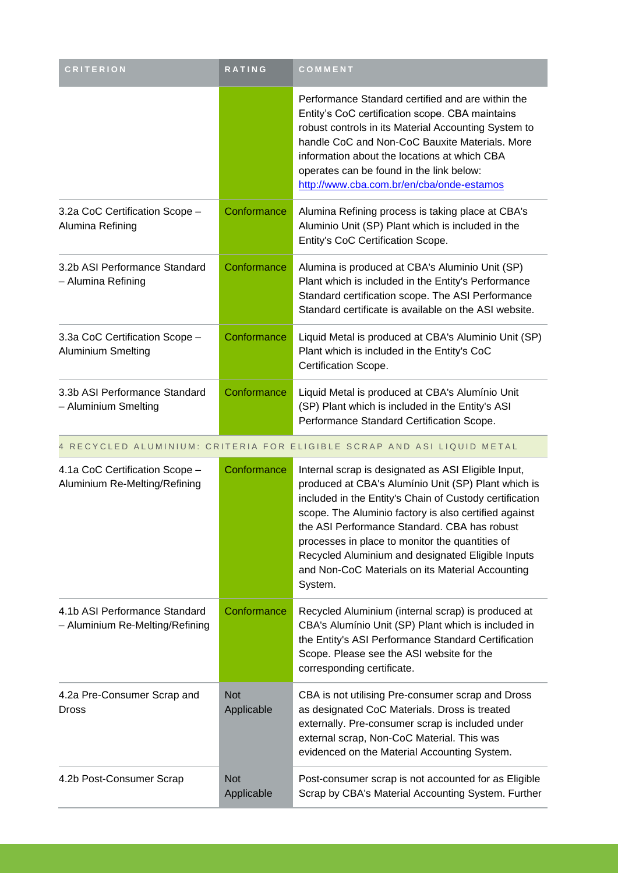| <b>CRITERION</b>                                                 | RATING                   | COMMENT                                                                                                                                                                                                                                                                                                                                                                                                                                               |
|------------------------------------------------------------------|--------------------------|-------------------------------------------------------------------------------------------------------------------------------------------------------------------------------------------------------------------------------------------------------------------------------------------------------------------------------------------------------------------------------------------------------------------------------------------------------|
|                                                                  |                          | Performance Standard certified and are within the<br>Entity's CoC certification scope. CBA maintains<br>robust controls in its Material Accounting System to<br>handle CoC and Non-CoC Bauxite Materials. More<br>information about the locations at which CBA<br>operates can be found in the link below:<br>http://www.cba.com.br/en/cba/onde-estamos                                                                                               |
| 3.2a CoC Certification Scope -<br>Alumina Refining               | Conformance              | Alumina Refining process is taking place at CBA's<br>Aluminio Unit (SP) Plant which is included in the<br>Entity's CoC Certification Scope.                                                                                                                                                                                                                                                                                                           |
| 3.2b ASI Performance Standard<br>- Alumina Refining              | Conformance              | Alumina is produced at CBA's Aluminio Unit (SP)<br>Plant which is included in the Entity's Performance<br>Standard certification scope. The ASI Performance<br>Standard certificate is available on the ASI website.                                                                                                                                                                                                                                  |
| 3.3a CoC Certification Scope -<br>Aluminium Smelting             | Conformance              | Liquid Metal is produced at CBA's Aluminio Unit (SP)<br>Plant which is included in the Entity's CoC<br>Certification Scope.                                                                                                                                                                                                                                                                                                                           |
| 3.3b ASI Performance Standard<br>- Aluminium Smelting            | Conformance              | Liquid Metal is produced at CBA's Alumínio Unit<br>(SP) Plant which is included in the Entity's ASI<br>Performance Standard Certification Scope.                                                                                                                                                                                                                                                                                                      |
|                                                                  |                          | 4 RECYCLED ALUMINIUM: CRITERIA FOR ELIGIBLE SCRAP AND ASI LIQUID METAL                                                                                                                                                                                                                                                                                                                                                                                |
| 4.1a CoC Certification Scope -<br>Aluminium Re-Melting/Refining  | Conformance              | Internal scrap is designated as ASI Eligible Input,<br>produced at CBA's Alumínio Unit (SP) Plant which is<br>included in the Entity's Chain of Custody certification<br>scope. The Aluminio factory is also certified against<br>the ASI Performance Standard. CBA has robust<br>processes in place to monitor the quantities of<br>Recycled Aluminium and designated Eligible Inputs<br>and Non-CoC Materials on its Material Accounting<br>System. |
| 4.1b ASI Performance Standard<br>- Aluminium Re-Melting/Refining | Conformance              | Recycled Aluminium (internal scrap) is produced at<br>CBA's Alumínio Unit (SP) Plant which is included in<br>the Entity's ASI Performance Standard Certification<br>Scope. Please see the ASI website for the<br>corresponding certificate.                                                                                                                                                                                                           |
| 4.2a Pre-Consumer Scrap and<br>Dross                             | <b>Not</b><br>Applicable | CBA is not utilising Pre-consumer scrap and Dross<br>as designated CoC Materials. Dross is treated<br>externally. Pre-consumer scrap is included under<br>external scrap, Non-CoC Material. This was<br>evidenced on the Material Accounting System.                                                                                                                                                                                                  |
| 4.2b Post-Consumer Scrap                                         | <b>Not</b><br>Applicable | Post-consumer scrap is not accounted for as Eligible<br>Scrap by CBA's Material Accounting System. Further                                                                                                                                                                                                                                                                                                                                            |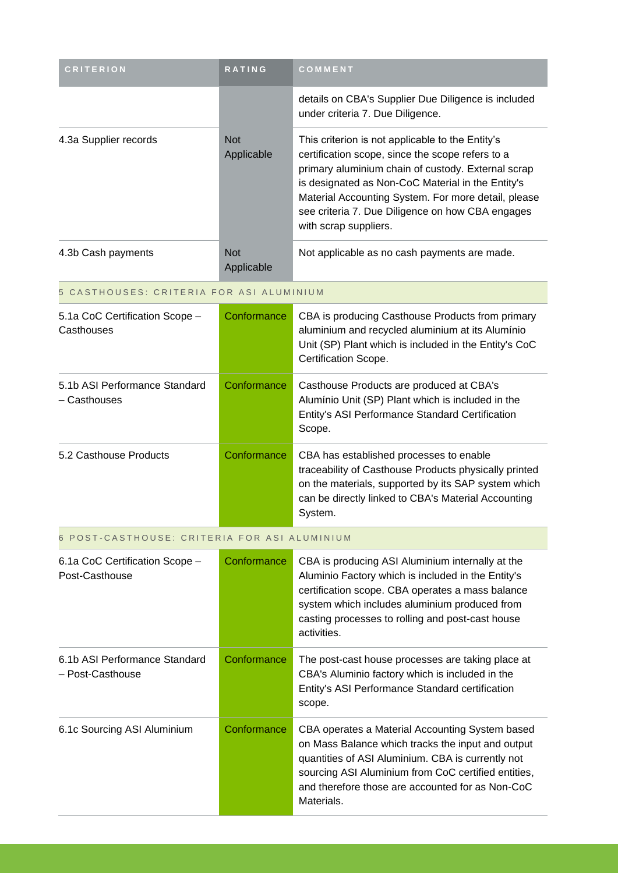| <b>CRITERION</b>                                  | <b>RATING</b>            | COMMENT                                                                                                                                                                                                                                                                                                                                             |
|---------------------------------------------------|--------------------------|-----------------------------------------------------------------------------------------------------------------------------------------------------------------------------------------------------------------------------------------------------------------------------------------------------------------------------------------------------|
|                                                   |                          | details on CBA's Supplier Due Diligence is included<br>under criteria 7. Due Diligence.                                                                                                                                                                                                                                                             |
| 4.3a Supplier records                             | <b>Not</b><br>Applicable | This criterion is not applicable to the Entity's<br>certification scope, since the scope refers to a<br>primary aluminium chain of custody. External scrap<br>is designated as Non-CoC Material in the Entity's<br>Material Accounting System. For more detail, please<br>see criteria 7. Due Diligence on how CBA engages<br>with scrap suppliers. |
| 4.3b Cash payments                                | <b>Not</b><br>Applicable | Not applicable as no cash payments are made.                                                                                                                                                                                                                                                                                                        |
| 5 CASTHOUSES: CRITERIA FOR ASI ALUMINIUM          |                          |                                                                                                                                                                                                                                                                                                                                                     |
| 5.1a CoC Certification Scope -<br>Casthouses      | Conformance              | CBA is producing Casthouse Products from primary<br>aluminium and recycled aluminium at its Alumínio<br>Unit (SP) Plant which is included in the Entity's CoC<br>Certification Scope.                                                                                                                                                               |
| 5.1b ASI Performance Standard<br>- Casthouses     | Conformance              | Casthouse Products are produced at CBA's<br>Alumínio Unit (SP) Plant which is included in the<br>Entity's ASI Performance Standard Certification<br>Scope.                                                                                                                                                                                          |
| 5.2 Casthouse Products                            | Conformance              | CBA has established processes to enable<br>traceability of Casthouse Products physically printed<br>on the materials, supported by its SAP system which<br>can be directly linked to CBA's Material Accounting<br>System.                                                                                                                           |
| POST-CASTHOUSE: CRITERIA FOR ASI ALUMINIUM        |                          |                                                                                                                                                                                                                                                                                                                                                     |
| 6.1a CoC Certification Scope -<br>Post-Casthouse  | Conformance              | CBA is producing ASI Aluminium internally at the<br>Aluminio Factory which is included in the Entity's<br>certification scope. CBA operates a mass balance<br>system which includes aluminium produced from<br>casting processes to rolling and post-cast house<br>activities.                                                                      |
| 6.1b ASI Performance Standard<br>- Post-Casthouse | Conformance              | The post-cast house processes are taking place at<br>CBA's Aluminio factory which is included in the<br>Entity's ASI Performance Standard certification<br>scope.                                                                                                                                                                                   |
| 6.1c Sourcing ASI Aluminium                       | Conformance              | CBA operates a Material Accounting System based<br>on Mass Balance which tracks the input and output<br>quantities of ASI Aluminium. CBA is currently not<br>sourcing ASI Aluminium from CoC certified entities,<br>and therefore those are accounted for as Non-CoC<br>Materials.                                                                  |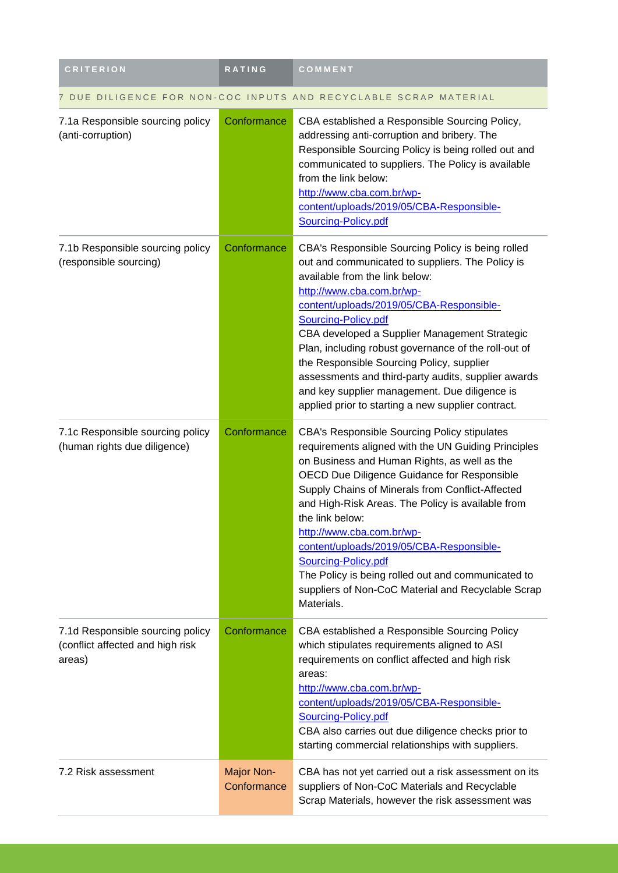| <b>CRITERION</b>                                                               | <b>RATING</b>             | COMMENT                                                                                                                                                                                                                                                                                                                                                                                                                                                                                                                                                         |  |
|--------------------------------------------------------------------------------|---------------------------|-----------------------------------------------------------------------------------------------------------------------------------------------------------------------------------------------------------------------------------------------------------------------------------------------------------------------------------------------------------------------------------------------------------------------------------------------------------------------------------------------------------------------------------------------------------------|--|
| 7 DUE DILIGENCE FOR NON-COC INPUTS AND RECYCLABLE SCRAP MATERIAL               |                           |                                                                                                                                                                                                                                                                                                                                                                                                                                                                                                                                                                 |  |
| 7.1a Responsible sourcing policy<br>(anti-corruption)                          | Conformance               | CBA established a Responsible Sourcing Policy,<br>addressing anti-corruption and bribery. The<br>Responsible Sourcing Policy is being rolled out and<br>communicated to suppliers. The Policy is available<br>from the link below:<br>http://www.cba.com.br/wp-<br>content/uploads/2019/05/CBA-Responsible-<br>Sourcing-Policy.pdf                                                                                                                                                                                                                              |  |
| 7.1b Responsible sourcing policy<br>(responsible sourcing)                     | Conformance               | CBA's Responsible Sourcing Policy is being rolled<br>out and communicated to suppliers. The Policy is<br>available from the link below:<br>http://www.cba.com.br/wp-<br>content/uploads/2019/05/CBA-Responsible-<br>Sourcing-Policy.pdf<br>CBA developed a Supplier Management Strategic<br>Plan, including robust governance of the roll-out of<br>the Responsible Sourcing Policy, supplier<br>assessments and third-party audits, supplier awards<br>and key supplier management. Due diligence is<br>applied prior to starting a new supplier contract.     |  |
| 7.1c Responsible sourcing policy<br>(human rights due diligence)               | Conformance               | <b>CBA's Responsible Sourcing Policy stipulates</b><br>requirements aligned with the UN Guiding Principles<br>on Business and Human Rights, as well as the<br>OECD Due Diligence Guidance for Responsible<br>Supply Chains of Minerals from Conflict-Affected<br>and High-Risk Areas. The Policy is available from<br>the link below:<br>http://www.cba.com.br/wp-<br>content/uploads/2019/05/CBA-Responsible-<br>Sourcing-Policy.pdf<br>The Policy is being rolled out and communicated to<br>suppliers of Non-CoC Material and Recyclable Scrap<br>Materials. |  |
| 7.1d Responsible sourcing policy<br>(conflict affected and high risk<br>areas) | Conformance               | CBA established a Responsible Sourcing Policy<br>which stipulates requirements aligned to ASI<br>requirements on conflict affected and high risk<br>areas:<br>http://www.cba.com.br/wp-<br>content/uploads/2019/05/CBA-Responsible-<br>Sourcing-Policy.pdf<br>CBA also carries out due diligence checks prior to<br>starting commercial relationships with suppliers.                                                                                                                                                                                           |  |
| 7.2 Risk assessment                                                            | Major Non-<br>Conformance | CBA has not yet carried out a risk assessment on its<br>suppliers of Non-CoC Materials and Recyclable<br>Scrap Materials, however the risk assessment was                                                                                                                                                                                                                                                                                                                                                                                                       |  |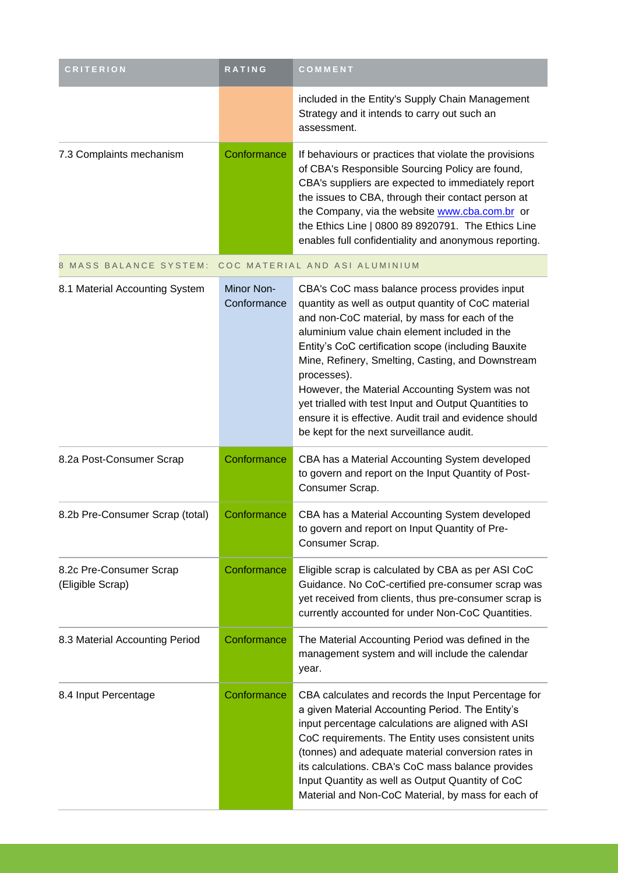| <b>CRITERION</b>                            | RATING                    | COMMENT                                                                                                                                                                                                                                                                                                                                                                                                                                                                                                                                              |
|---------------------------------------------|---------------------------|------------------------------------------------------------------------------------------------------------------------------------------------------------------------------------------------------------------------------------------------------------------------------------------------------------------------------------------------------------------------------------------------------------------------------------------------------------------------------------------------------------------------------------------------------|
|                                             |                           | included in the Entity's Supply Chain Management<br>Strategy and it intends to carry out such an<br>assessment.                                                                                                                                                                                                                                                                                                                                                                                                                                      |
| 7.3 Complaints mechanism                    | Conformance               | If behaviours or practices that violate the provisions<br>of CBA's Responsible Sourcing Policy are found,<br>CBA's suppliers are expected to immediately report<br>the issues to CBA, through their contact person at<br>the Company, via the website www.cba.com.br or<br>the Ethics Line   0800 89 8920791. The Ethics Line<br>enables full confidentiality and anonymous reporting.                                                                                                                                                               |
| <b>MASS BALANCE SYSTEM:</b>                 |                           | COC MATERIAL AND ASI ALUMINIUM                                                                                                                                                                                                                                                                                                                                                                                                                                                                                                                       |
| 8.1 Material Accounting System              | Minor Non-<br>Conformance | CBA's CoC mass balance process provides input<br>quantity as well as output quantity of CoC material<br>and non-CoC material, by mass for each of the<br>aluminium value chain element included in the<br>Entity's CoC certification scope (including Bauxite<br>Mine, Refinery, Smelting, Casting, and Downstream<br>processes).<br>However, the Material Accounting System was not<br>yet trialled with test Input and Output Quantities to<br>ensure it is effective. Audit trail and evidence should<br>be kept for the next surveillance audit. |
| 8.2a Post-Consumer Scrap                    | Conformance               | CBA has a Material Accounting System developed<br>to govern and report on the Input Quantity of Post-<br>Consumer Scrap.                                                                                                                                                                                                                                                                                                                                                                                                                             |
| 8.2b Pre-Consumer Scrap (total)             | Conformance               | CBA has a Material Accounting System developed<br>to govern and report on Input Quantity of Pre-<br>Consumer Scrap.                                                                                                                                                                                                                                                                                                                                                                                                                                  |
| 8.2c Pre-Consumer Scrap<br>(Eligible Scrap) | Conformance               | Eligible scrap is calculated by CBA as per ASI CoC<br>Guidance. No CoC-certified pre-consumer scrap was<br>yet received from clients, thus pre-consumer scrap is<br>currently accounted for under Non-CoC Quantities.                                                                                                                                                                                                                                                                                                                                |
| 8.3 Material Accounting Period              | Conformance               | The Material Accounting Period was defined in the<br>management system and will include the calendar<br>year.                                                                                                                                                                                                                                                                                                                                                                                                                                        |
| 8.4 Input Percentage                        | Conformance               | CBA calculates and records the Input Percentage for<br>a given Material Accounting Period. The Entity's<br>input percentage calculations are aligned with ASI<br>CoC requirements. The Entity uses consistent units<br>(tonnes) and adequate material conversion rates in<br>its calculations. CBA's CoC mass balance provides<br>Input Quantity as well as Output Quantity of CoC<br>Material and Non-CoC Material, by mass for each of                                                                                                             |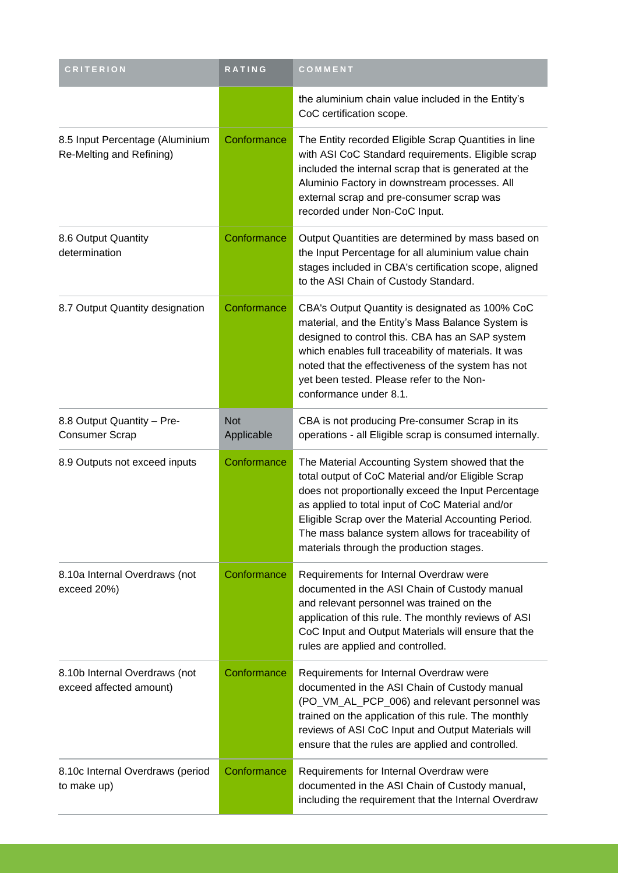| <b>CRITERION</b>                                            | RATING                   | COMMENT                                                                                                                                                                                                                                                                                                                                                                  |
|-------------------------------------------------------------|--------------------------|--------------------------------------------------------------------------------------------------------------------------------------------------------------------------------------------------------------------------------------------------------------------------------------------------------------------------------------------------------------------------|
|                                                             |                          | the aluminium chain value included in the Entity's<br>CoC certification scope.                                                                                                                                                                                                                                                                                           |
| 8.5 Input Percentage (Aluminium<br>Re-Melting and Refining) | Conformance              | The Entity recorded Eligible Scrap Quantities in line<br>with ASI CoC Standard requirements. Eligible scrap<br>included the internal scrap that is generated at the<br>Aluminio Factory in downstream processes. All<br>external scrap and pre-consumer scrap was<br>recorded under Non-CoC Input.                                                                       |
| 8.6 Output Quantity<br>determination                        | Conformance              | Output Quantities are determined by mass based on<br>the Input Percentage for all aluminium value chain<br>stages included in CBA's certification scope, aligned<br>to the ASI Chain of Custody Standard.                                                                                                                                                                |
| 8.7 Output Quantity designation                             | Conformance              | CBA's Output Quantity is designated as 100% CoC<br>material, and the Entity's Mass Balance System is<br>designed to control this. CBA has an SAP system<br>which enables full traceability of materials. It was<br>noted that the effectiveness of the system has not<br>yet been tested. Please refer to the Non-<br>conformance under 8.1.                             |
| 8.8 Output Quantity - Pre-<br><b>Consumer Scrap</b>         | <b>Not</b><br>Applicable | CBA is not producing Pre-consumer Scrap in its<br>operations - all Eligible scrap is consumed internally.                                                                                                                                                                                                                                                                |
| 8.9 Outputs not exceed inputs                               | Conformance              | The Material Accounting System showed that the<br>total output of CoC Material and/or Eligible Scrap<br>does not proportionally exceed the Input Percentage<br>as applied to total input of CoC Material and/or<br>Eligible Scrap over the Material Accounting Period.<br>The mass balance system allows for traceability of<br>materials through the production stages. |
| 8.10a Internal Overdraws (not<br>exceed 20%)                | Conformance              | Requirements for Internal Overdraw were<br>documented in the ASI Chain of Custody manual<br>and relevant personnel was trained on the<br>application of this rule. The monthly reviews of ASI<br>CoC Input and Output Materials will ensure that the<br>rules are applied and controlled.                                                                                |
| 8.10b Internal Overdraws (not<br>exceed affected amount)    | Conformance              | Requirements for Internal Overdraw were<br>documented in the ASI Chain of Custody manual<br>(PO_VM_AL_PCP_006) and relevant personnel was<br>trained on the application of this rule. The monthly<br>reviews of ASI CoC Input and Output Materials will<br>ensure that the rules are applied and controlled.                                                             |
| 8.10c Internal Overdraws (period<br>to make up)             | Conformance              | Requirements for Internal Overdraw were<br>documented in the ASI Chain of Custody manual,<br>including the requirement that the Internal Overdraw                                                                                                                                                                                                                        |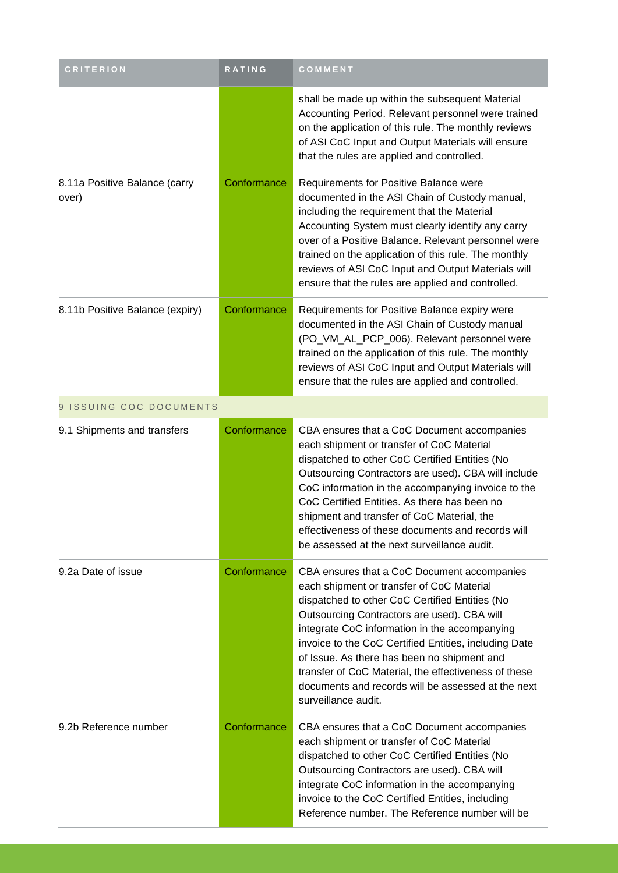| <b>CRITERION</b>                       | RATING      | COMMENT                                                                                                                                                                                                                                                                                                                                                                                                                                                                                 |
|----------------------------------------|-------------|-----------------------------------------------------------------------------------------------------------------------------------------------------------------------------------------------------------------------------------------------------------------------------------------------------------------------------------------------------------------------------------------------------------------------------------------------------------------------------------------|
|                                        |             | shall be made up within the subsequent Material<br>Accounting Period. Relevant personnel were trained<br>on the application of this rule. The monthly reviews<br>of ASI CoC Input and Output Materials will ensure<br>that the rules are applied and controlled.                                                                                                                                                                                                                        |
| 8.11a Positive Balance (carry<br>over) | Conformance | Requirements for Positive Balance were<br>documented in the ASI Chain of Custody manual,<br>including the requirement that the Material<br>Accounting System must clearly identify any carry<br>over of a Positive Balance. Relevant personnel were<br>trained on the application of this rule. The monthly<br>reviews of ASI CoC Input and Output Materials will<br>ensure that the rules are applied and controlled.                                                                  |
| 8.11b Positive Balance (expiry)        | Conformance | Requirements for Positive Balance expiry were<br>documented in the ASI Chain of Custody manual<br>(PO_VM_AL_PCP_006). Relevant personnel were<br>trained on the application of this rule. The monthly<br>reviews of ASI CoC Input and Output Materials will<br>ensure that the rules are applied and controlled.                                                                                                                                                                        |
| 9 ISSUING COC DOCUMENTS                |             |                                                                                                                                                                                                                                                                                                                                                                                                                                                                                         |
| 9.1 Shipments and transfers            | Conformance | CBA ensures that a CoC Document accompanies<br>each shipment or transfer of CoC Material<br>dispatched to other CoC Certified Entities (No<br>Outsourcing Contractors are used). CBA will include<br>CoC information in the accompanying invoice to the<br>CoC Certified Entities. As there has been no<br>shipment and transfer of CoC Material, the<br>effectiveness of these documents and records will<br>be assessed at the next surveillance audit.                               |
| 9.2a Date of issue                     | Conformance | CBA ensures that a CoC Document accompanies<br>each shipment or transfer of CoC Material<br>dispatched to other CoC Certified Entities (No<br>Outsourcing Contractors are used). CBA will<br>integrate CoC information in the accompanying<br>invoice to the CoC Certified Entities, including Date<br>of Issue. As there has been no shipment and<br>transfer of CoC Material, the effectiveness of these<br>documents and records will be assessed at the next<br>surveillance audit. |
| 9.2b Reference number                  | Conformance | CBA ensures that a CoC Document accompanies<br>each shipment or transfer of CoC Material<br>dispatched to other CoC Certified Entities (No<br>Outsourcing Contractors are used). CBA will<br>integrate CoC information in the accompanying<br>invoice to the CoC Certified Entities, including<br>Reference number. The Reference number will be                                                                                                                                        |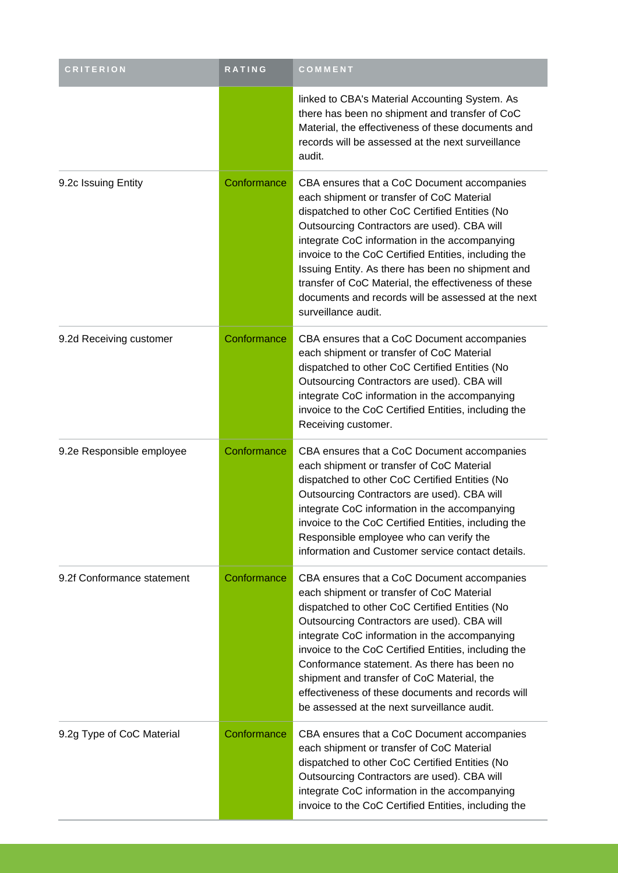| <b>CRITERION</b>           | RATING      | COMMENT                                                                                                                                                                                                                                                                                                                                                                                                                                                                                             |
|----------------------------|-------------|-----------------------------------------------------------------------------------------------------------------------------------------------------------------------------------------------------------------------------------------------------------------------------------------------------------------------------------------------------------------------------------------------------------------------------------------------------------------------------------------------------|
|                            |             | linked to CBA's Material Accounting System. As<br>there has been no shipment and transfer of CoC<br>Material, the effectiveness of these documents and<br>records will be assessed at the next surveillance<br>audit.                                                                                                                                                                                                                                                                               |
| 9.2c Issuing Entity        | Conformance | CBA ensures that a CoC Document accompanies<br>each shipment or transfer of CoC Material<br>dispatched to other CoC Certified Entities (No<br>Outsourcing Contractors are used). CBA will<br>integrate CoC information in the accompanying<br>invoice to the CoC Certified Entities, including the<br>Issuing Entity. As there has been no shipment and<br>transfer of CoC Material, the effectiveness of these<br>documents and records will be assessed at the next<br>surveillance audit.        |
| 9.2d Receiving customer    | Conformance | CBA ensures that a CoC Document accompanies<br>each shipment or transfer of CoC Material<br>dispatched to other CoC Certified Entities (No<br>Outsourcing Contractors are used). CBA will<br>integrate CoC information in the accompanying<br>invoice to the CoC Certified Entities, including the<br>Receiving customer.                                                                                                                                                                           |
| 9.2e Responsible employee  | Conformance | CBA ensures that a CoC Document accompanies<br>each shipment or transfer of CoC Material<br>dispatched to other CoC Certified Entities (No<br>Outsourcing Contractors are used). CBA will<br>integrate CoC information in the accompanying<br>invoice to the CoC Certified Entities, including the<br>Responsible employee who can verify the<br>information and Customer service contact details.                                                                                                  |
| 9.2f Conformance statement | Conformance | CBA ensures that a CoC Document accompanies<br>each shipment or transfer of CoC Material<br>dispatched to other CoC Certified Entities (No<br>Outsourcing Contractors are used). CBA will<br>integrate CoC information in the accompanying<br>invoice to the CoC Certified Entities, including the<br>Conformance statement. As there has been no<br>shipment and transfer of CoC Material, the<br>effectiveness of these documents and records will<br>be assessed at the next surveillance audit. |
| 9.2g Type of CoC Material  | Conformance | CBA ensures that a CoC Document accompanies<br>each shipment or transfer of CoC Material<br>dispatched to other CoC Certified Entities (No<br>Outsourcing Contractors are used). CBA will<br>integrate CoC information in the accompanying<br>invoice to the CoC Certified Entities, including the                                                                                                                                                                                                  |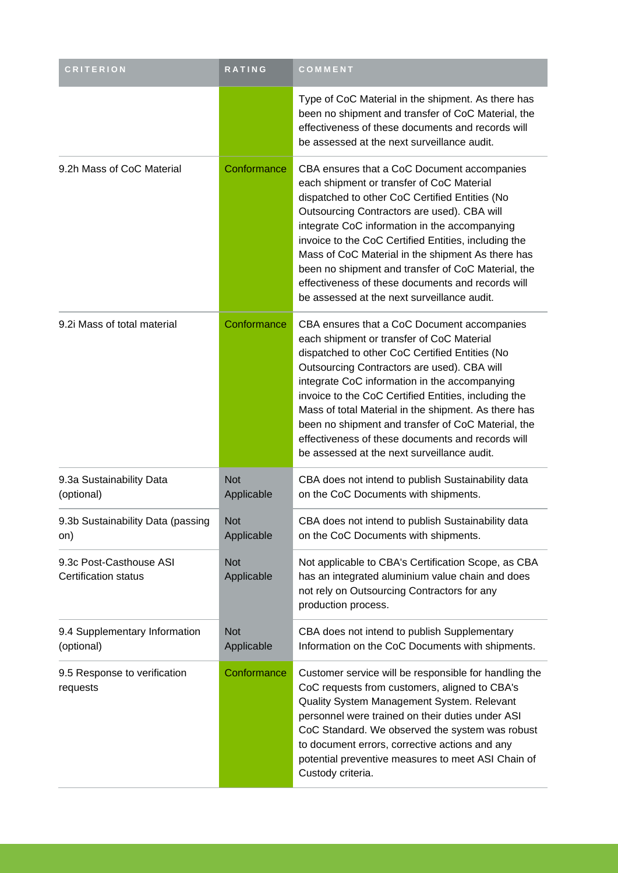| <b>CRITERION</b>                                | RATING                   | COMMENT                                                                                                                                                                                                                                                                                                                                                                                                                                                                                                              |
|-------------------------------------------------|--------------------------|----------------------------------------------------------------------------------------------------------------------------------------------------------------------------------------------------------------------------------------------------------------------------------------------------------------------------------------------------------------------------------------------------------------------------------------------------------------------------------------------------------------------|
|                                                 |                          | Type of CoC Material in the shipment. As there has<br>been no shipment and transfer of CoC Material, the<br>effectiveness of these documents and records will<br>be assessed at the next surveillance audit.                                                                                                                                                                                                                                                                                                         |
| 9.2h Mass of CoC Material                       | Conformance              | CBA ensures that a CoC Document accompanies<br>each shipment or transfer of CoC Material<br>dispatched to other CoC Certified Entities (No<br>Outsourcing Contractors are used). CBA will<br>integrate CoC information in the accompanying<br>invoice to the CoC Certified Entities, including the<br>Mass of CoC Material in the shipment As there has<br>been no shipment and transfer of CoC Material, the<br>effectiveness of these documents and records will<br>be assessed at the next surveillance audit.    |
| 9.2i Mass of total material                     | Conformance              | CBA ensures that a CoC Document accompanies<br>each shipment or transfer of CoC Material<br>dispatched to other CoC Certified Entities (No<br>Outsourcing Contractors are used). CBA will<br>integrate CoC information in the accompanying<br>invoice to the CoC Certified Entities, including the<br>Mass of total Material in the shipment. As there has<br>been no shipment and transfer of CoC Material, the<br>effectiveness of these documents and records will<br>be assessed at the next surveillance audit. |
| 9.3a Sustainability Data<br>(optional)          | <b>Not</b><br>Applicable | CBA does not intend to publish Sustainability data<br>on the CoC Documents with shipments.                                                                                                                                                                                                                                                                                                                                                                                                                           |
| 9.3b Sustainability Data (passing<br>on)        | <b>Not</b><br>Applicable | CBA does not intend to publish Sustainability data<br>on the CoC Documents with shipments.                                                                                                                                                                                                                                                                                                                                                                                                                           |
| 9.3c Post-Casthouse ASI<br>Certification status | <b>Not</b><br>Applicable | Not applicable to CBA's Certification Scope, as CBA<br>has an integrated aluminium value chain and does<br>not rely on Outsourcing Contractors for any<br>production process.                                                                                                                                                                                                                                                                                                                                        |
| 9.4 Supplementary Information<br>(optional)     | <b>Not</b><br>Applicable | CBA does not intend to publish Supplementary<br>Information on the CoC Documents with shipments.                                                                                                                                                                                                                                                                                                                                                                                                                     |
| 9.5 Response to verification<br>requests        | Conformance              | Customer service will be responsible for handling the<br>CoC requests from customers, aligned to CBA's<br>Quality System Management System. Relevant<br>personnel were trained on their duties under ASI<br>CoC Standard. We observed the system was robust<br>to document errors, corrective actions and any<br>potential preventive measures to meet ASI Chain of<br>Custody criteria.                                                                                                                             |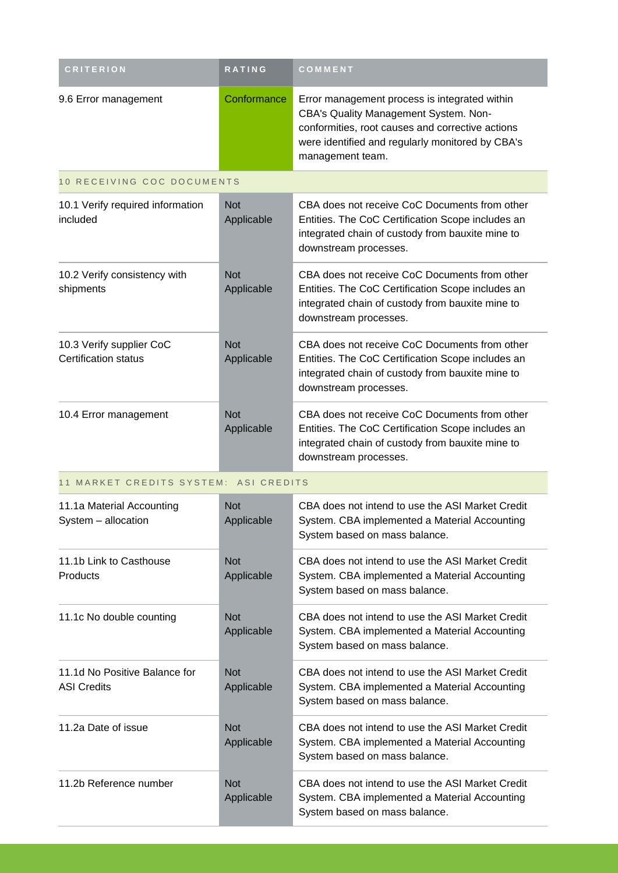| <b>CRITERION</b>                                        | <b>RATING</b>            | COMMENT                                                                                                                                                                                                            |  |  |
|---------------------------------------------------------|--------------------------|--------------------------------------------------------------------------------------------------------------------------------------------------------------------------------------------------------------------|--|--|
| 9.6 Error management                                    | Conformance              | Error management process is integrated within<br>CBA's Quality Management System. Non-<br>conformities, root causes and corrective actions<br>were identified and regularly monitored by CBA's<br>management team. |  |  |
| 10 RECEIVING COC DOCUMENTS                              |                          |                                                                                                                                                                                                                    |  |  |
| 10.1 Verify required information<br>included            | <b>Not</b><br>Applicable | CBA does not receive CoC Documents from other<br>Entities. The CoC Certification Scope includes an<br>integrated chain of custody from bauxite mine to<br>downstream processes.                                    |  |  |
| 10.2 Verify consistency with<br>shipments               | <b>Not</b><br>Applicable | CBA does not receive CoC Documents from other<br>Entities. The CoC Certification Scope includes an<br>integrated chain of custody from bauxite mine to<br>downstream processes.                                    |  |  |
| 10.3 Verify supplier CoC<br><b>Certification status</b> | <b>Not</b><br>Applicable | CBA does not receive CoC Documents from other<br>Entities. The CoC Certification Scope includes an<br>integrated chain of custody from bauxite mine to<br>downstream processes.                                    |  |  |
| 10.4 Error management                                   | <b>Not</b><br>Applicable | CBA does not receive CoC Documents from other<br>Entities. The CoC Certification Scope includes an<br>integrated chain of custody from bauxite mine to<br>downstream processes.                                    |  |  |
| 11 MARKET CREDITS SYSTEM: ASI CREDITS                   |                          |                                                                                                                                                                                                                    |  |  |
| 11.1a Material Accounting<br>System - allocation        | <b>Not</b><br>Applicable | CBA does not intend to use the ASI Market Credit<br>System. CBA implemented a Material Accounting<br>System based on mass balance.                                                                                 |  |  |
| 11.1b Link to Casthouse<br>Products                     | <b>Not</b><br>Applicable | CBA does not intend to use the ASI Market Credit<br>System. CBA implemented a Material Accounting<br>System based on mass balance.                                                                                 |  |  |
| 11.1c No double counting                                | <b>Not</b><br>Applicable | CBA does not intend to use the ASI Market Credit<br>System. CBA implemented a Material Accounting<br>System based on mass balance.                                                                                 |  |  |
| 11.1d No Positive Balance for<br><b>ASI Credits</b>     | <b>Not</b><br>Applicable | CBA does not intend to use the ASI Market Credit<br>System. CBA implemented a Material Accounting<br>System based on mass balance.                                                                                 |  |  |
| 11.2a Date of issue                                     | <b>Not</b><br>Applicable | CBA does not intend to use the ASI Market Credit<br>System. CBA implemented a Material Accounting<br>System based on mass balance.                                                                                 |  |  |
| 11.2b Reference number                                  | <b>Not</b><br>Applicable | CBA does not intend to use the ASI Market Credit<br>System. CBA implemented a Material Accounting<br>System based on mass balance.                                                                                 |  |  |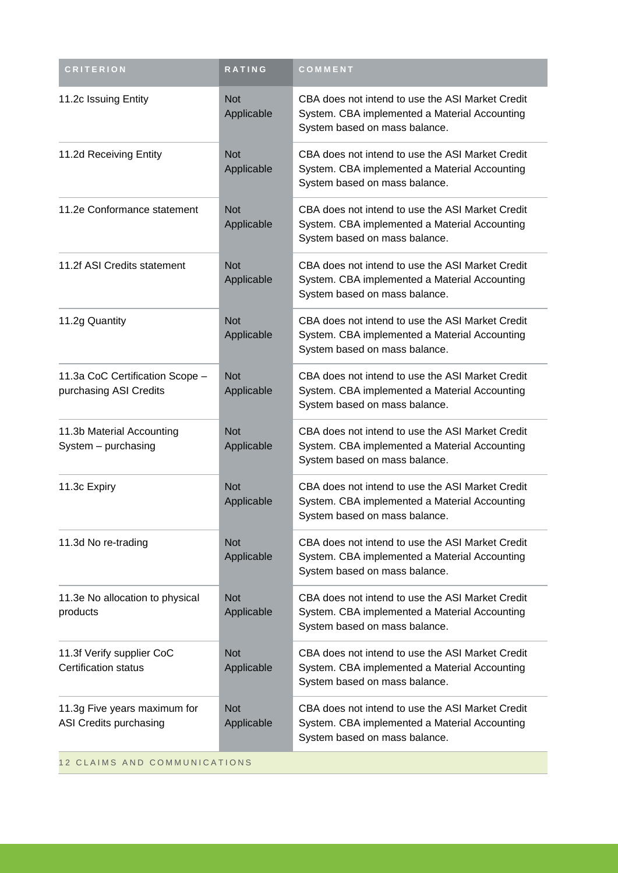| <b>CRITERION</b>                                          | RATING                   | COMMENT                                                                                                                            |  |
|-----------------------------------------------------------|--------------------------|------------------------------------------------------------------------------------------------------------------------------------|--|
| 11.2c Issuing Entity                                      | <b>Not</b><br>Applicable | CBA does not intend to use the ASI Market Credit<br>System. CBA implemented a Material Accounting<br>System based on mass balance. |  |
| 11.2d Receiving Entity                                    | <b>Not</b><br>Applicable | CBA does not intend to use the ASI Market Credit<br>System. CBA implemented a Material Accounting<br>System based on mass balance. |  |
| 11.2e Conformance statement                               | <b>Not</b><br>Applicable | CBA does not intend to use the ASI Market Credit<br>System. CBA implemented a Material Accounting<br>System based on mass balance. |  |
| 11.2f ASI Credits statement                               | <b>Not</b><br>Applicable | CBA does not intend to use the ASI Market Credit<br>System. CBA implemented a Material Accounting<br>System based on mass balance. |  |
| 11.2g Quantity                                            | <b>Not</b><br>Applicable | CBA does not intend to use the ASI Market Credit<br>System. CBA implemented a Material Accounting<br>System based on mass balance. |  |
| 11.3a CoC Certification Scope -<br>purchasing ASI Credits | <b>Not</b><br>Applicable | CBA does not intend to use the ASI Market Credit<br>System. CBA implemented a Material Accounting<br>System based on mass balance. |  |
| 11.3b Material Accounting<br>System - purchasing          | <b>Not</b><br>Applicable | CBA does not intend to use the ASI Market Credit<br>System. CBA implemented a Material Accounting<br>System based on mass balance. |  |
| 11.3c Expiry                                              | <b>Not</b><br>Applicable | CBA does not intend to use the ASI Market Credit<br>System. CBA implemented a Material Accounting<br>System based on mass balance. |  |
| 11.3d No re-trading                                       | <b>Not</b><br>Applicable | CBA does not intend to use the ASI Market Credit<br>System. CBA implemented a Material Accounting<br>System based on mass balance. |  |
| 11.3e No allocation to physical<br>products               | <b>Not</b><br>Applicable | CBA does not intend to use the ASI Market Credit<br>System. CBA implemented a Material Accounting<br>System based on mass balance. |  |
| 11.3f Verify supplier CoC<br><b>Certification status</b>  | <b>Not</b><br>Applicable | CBA does not intend to use the ASI Market Credit<br>System. CBA implemented a Material Accounting<br>System based on mass balance. |  |
| 11.3g Five years maximum for<br>ASI Credits purchasing    | <b>Not</b><br>Applicable | CBA does not intend to use the ASI Market Credit<br>System. CBA implemented a Material Accounting<br>System based on mass balance. |  |
| 12 CLAIMS AND COMMUNICATIONS                              |                          |                                                                                                                                    |  |